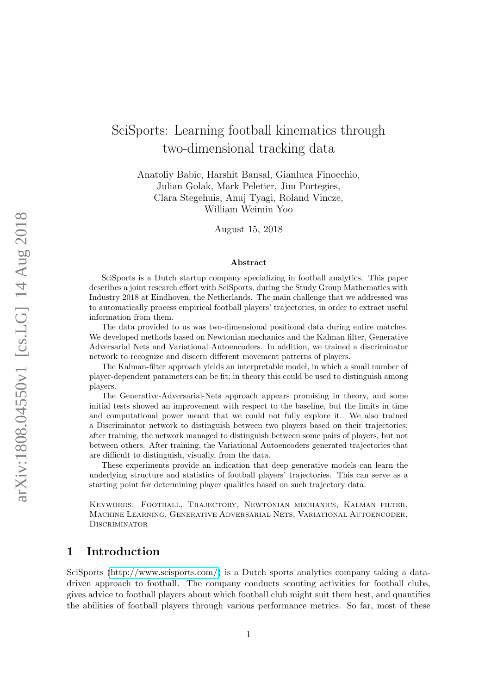# SciSports: Learning football kinematics through two-dimensional tracking data

Anatoliy Babic, Harshit Bansal, Gianluca Finocchio, Julian Golak, Mark Peletier, Jim Portegies, Clara Stegehuis, Anuj Tyagi, Roland Vincze, William Weimin Yoo

August 15, 2018

#### Abstract

SciSports is a Dutch startup company specializing in football analytics. This paper describes a joint research effort with SciSports, during the Study Group Mathematics with Industry 2018 at Eindhoven, the Netherlands. The main challenge that we addressed was to automatically process empirical football players' trajectories, in order to extract useful information from them.

The data provided to us was two-dimensional positional data during entire matches. We developed methods based on Newtonian mechanics and the Kalman filter, Generative Adversarial Nets and Variational Autoencoders. In addition, we trained a discriminator network to recognize and discern different movement patterns of players.

The Kalman-filter approach yields an interpretable model, in which a small number of player-dependent parameters can be fit; in theory this could be used to distinguish among players.

The Generative-Adversarial-Nets approach appears promising in theory, and some initial tests showed an improvement with respect to the baseline, but the limits in time and computational power meant that we could not fully explore it. We also trained a Discriminator network to distinguish between two players based on their trajectories; after training, the network managed to distinguish between some pairs of players, but not between others. After training, the Variational Autoencoders generated trajectories that are difficult to distinguish, visually, from the data.

These experiments provide an indication that deep generative models can learn the underlying structure and statistics of football players' trajectories. This can serve as a starting point for determining player qualities based on such trajectory data.

Keywords: Football, Trajectory, Newtonian mechanics, Kalman filter, Machine Learning, Generative Adversarial Nets, Variational Autoencoder, DISCRIMINATOR

# 1 Introduction

SciSports [\(http://www.scisports.com/\)](http://www.scisports.com/) is a Dutch sports analytics company taking a datadriven approach to football. The company conducts scouting activities for football clubs, gives advice to football players about which football club might suit them best, and quantifies the abilities of football players through various performance metrics. So far, most of these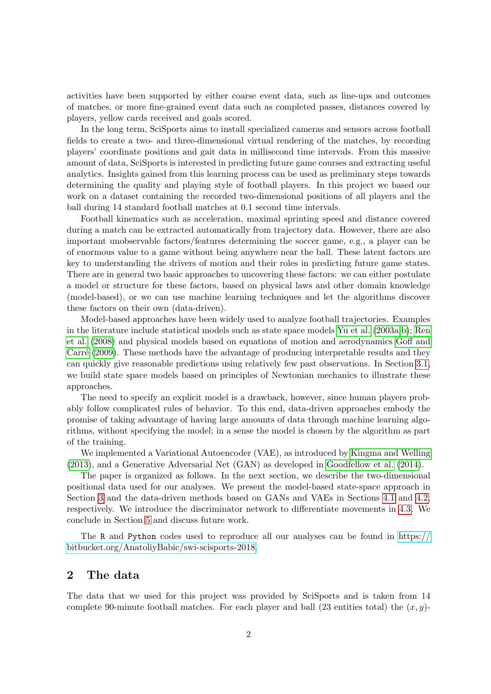activities have been supported by either coarse event data, such as line-ups and outcomes of matches, or more fine-grained event data such as completed passes, distances covered by players, yellow cards received and goals scored.

In the long term, SciSports aims to install specialized cameras and sensors across football fields to create a two- and three-dimensional virtual rendering of the matches, by recording players' coordinate positions and gait data in millisecond time intervals. From this massive amount of data, SciSports is interested in predicting future game courses and extracting useful analytics. Insights gained from this learning process can be used as preliminary steps towards determining the quality and playing style of football players. In this project we based our work on a dataset containing the recorded two-dimensional positions of all players and the ball during 14 standard football matches at 0.1 second time intervals.

Football kinematics such as acceleration, maximal sprinting speed and distance covered during a match can be extracted automatically from trajectory data. However, there are also important unobservable factors/features determining the soccer game, e.g., a player can be of enormous value to a game without being anywhere near the ball. These latent factors are key to understanding the drivers of motion and their roles in predicting future game states. There are in general two basic approaches to uncovering these factors: we can either postulate a model or structure for these factors, based on physical laws and other domain knowledge (model-based), or we can use machine learning techniques and let the algorithms discover these factors on their own (data-driven).

Model-based approaches have been widely used to analyze football trajectories. Examples in the literature include statistical models such as state space models [Yu et al.](#page-22-0) [\(2003a,](#page-22-0)[b\)](#page-23-0); [Ren](#page-22-1) [et al.](#page-22-1) [\(2008\)](#page-22-1) and physical models based on equations of motion and aerodynamics [Goff and](#page-22-2) Carré [\(2009\)](#page-22-2). These methods have the advantage of producing interpretable results and they can quickly give reasonable predictions using relatively few past observations. In Section [3.1,](#page-2-0) we build state space models based on principles of Newtonian mechanics to illustrate these approaches.

The need to specify an explicit model is a drawback, however, since human players probably follow complicated rules of behavior. To this end, data-driven approaches embody the promise of taking advantage of having large amounts of data through machine learning algorithms, without specifying the model; in a sense the model is chosen by the algorithm as part of the training.

We implemented a Variational Autoencoder (VAE), as introduced by [Kingma and Welling](#page-22-3) [\(2013\)](#page-22-3), and a Generative Adversarial Net (GAN) as developed in [Goodfellow et al.](#page-22-4) [\(2014\)](#page-22-4).

The paper is organized as follows. In the next section, we describe the two-dimensional positional data used for our analyses. We present the model-based state-space approach in Section [3](#page-2-1) and the data-driven methods based on GANs and VAEs in Sections [4.1](#page-9-0) and [4.2,](#page-12-0) respectively. We introduce the discriminator network to differentiate movements in [4.3.](#page-16-0) We conclude in Section [5](#page-17-0) and discuss future work.

The R and Python codes used to reproduce all our analyses can be found in [https://](https://bitbucket.org/AnatoliyBabic/swi-scisports-2018) [bitbucket.org/AnatoliyBabic/swi-scisports-2018.](https://bitbucket.org/AnatoliyBabic/swi-scisports-2018)

# 2 The data

The data that we used for this project was provided by SciSports and is taken from 14 complete 90-minute football matches. For each player and ball (23 entities total) the  $(x, y)$ -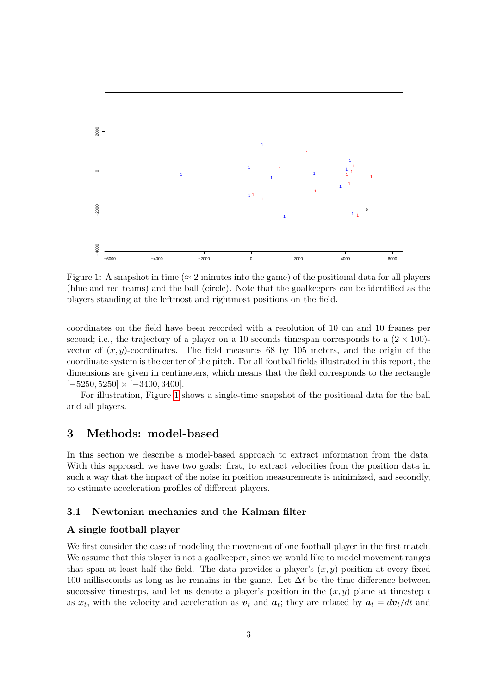<span id="page-2-2"></span>

Figure 1: A snapshot in time ( $\approx$  2 minutes into the game) of the positional data for all players (blue and red teams) and the ball (circle). Note that the goalkeepers can be identified as the players standing at the leftmost and rightmost positions on the field.

coordinates on the field have been recorded with a resolution of 10 cm and 10 frames per second; i.e., the trajectory of a player on a 10 seconds timespan corresponds to a  $(2 \times 100)$ vector of  $(x, y)$ -coordinates. The field measures 68 by 105 meters, and the origin of the coordinate system is the center of the pitch. For all football fields illustrated in this report, the dimensions are given in centimeters, which means that the field corresponds to the rectangle  $[-5250, 5250] \times [-3400, 3400].$ 

For illustration, Figure [1](#page-2-2) shows a single-time snapshot of the positional data for the ball and all players.

# <span id="page-2-1"></span>3 Methods: model-based

In this section we describe a model-based approach to extract information from the data. With this approach we have two goals: first, to extract velocities from the position data in such a way that the impact of the noise in position measurements is minimized, and secondly, to estimate acceleration profiles of different players.

#### <span id="page-2-0"></span>3.1 Newtonian mechanics and the Kalman filter

#### A single football player

We first consider the case of modeling the movement of one football player in the first match. We assume that this player is not a goalkeeper, since we would like to model movement ranges that span at least half the field. The data provides a player's  $(x, y)$ -position at every fixed 100 milliseconds as long as he remains in the game. Let  $\Delta t$  be the time difference between successive timesteps, and let us denote a player's position in the  $(x, y)$  plane at timestep t as  $x_t$ , with the velocity and acceleration as  $v_t$  and  $a_t$ ; they are related by  $a_t = dv_t/dt$  and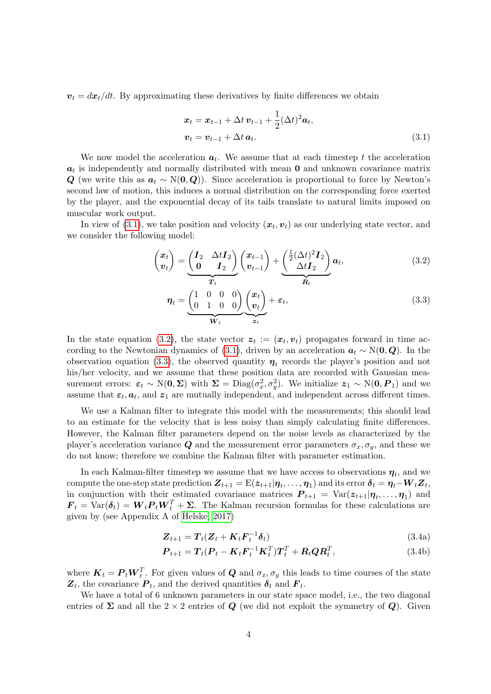$v_t = dx_t/dt$ . By approximating these derivatives by finite differences we obtain

<span id="page-3-0"></span>
$$
\begin{aligned} \n\boldsymbol{x}_t &= \boldsymbol{x}_{t-1} + \Delta t \, \boldsymbol{v}_{t-1} + \frac{1}{2} (\Delta t)^2 \boldsymbol{a}_t, \\ \n\boldsymbol{v}_t &= \boldsymbol{v}_{t-1} + \Delta t \, \boldsymbol{a}_t. \n\end{aligned} \tag{3.1}
$$

We now model the acceleration  $a_t$ . We assume that at each timestep t the acceleration  $a_t$  is independently and normally distributed with mean 0 and unknown covariance matrix Q (we write this as  $a_t \sim N(0, Q)$ ). Since acceleration is proportional to force by Newton's second law of motion, this induces a normal distribution on the corresponding force exerted by the player, and the exponential decay of its tails translate to natural limits imposed on muscular work output.

In view of  $(3.1)$ , we take position and velocity  $(x_t, v_t)$  as our underlying state vector, and we consider the following model:

<span id="page-3-2"></span><span id="page-3-1"></span>
$$
\begin{pmatrix}\n\boldsymbol{x}_t \\
\boldsymbol{v}_t\n\end{pmatrix} = \underbrace{\begin{pmatrix}\n\boldsymbol{I}_2 & \Delta t \boldsymbol{I}_2 \\
\boldsymbol{0} & \boldsymbol{I}_2\n\end{pmatrix}}_{\boldsymbol{T}_t} \begin{pmatrix}\n\boldsymbol{x}_{t-1} \\
\boldsymbol{v}_{t-1}\n\end{pmatrix} + \underbrace{\begin{pmatrix}\n\frac{1}{2}(\Delta t)^2 \boldsymbol{I}_2 \\
\Delta t \boldsymbol{I}_2\n\end{pmatrix}}_{\boldsymbol{R}_t} \boldsymbol{a}_t,
$$
\n(3.2)\n
$$
\boldsymbol{\eta}_t = \underbrace{\begin{pmatrix}\n1 & 0 & 0 & 0 \\
0 & 1 & 0 & 0\n\end{pmatrix}}_{\boldsymbol{W}_t} \begin{pmatrix}\n\boldsymbol{x}_t \\
\boldsymbol{v}_t\n\end{pmatrix}}_{\boldsymbol{z}_t} + \boldsymbol{\varepsilon}_t,
$$
\n(3.3)

In the state equation [\(3.2\)](#page-3-1), the state vector  $z_t := (x_t, v_t)$  propagates forward in time ac-cording to the Newtonian dynamics of [\(3.1\)](#page-3-0), driven by an acceleration  $a_t \sim N(0, Q)$ . In the observation equation [\(3.3\)](#page-3-2), the observed quantity  $\eta_t$  records the player's position and not his/her velocity, and we assume that these position data are recorded with Gaussian measurement errors:  $\varepsilon_t \sim N(0, \Sigma)$  with  $\Sigma = \text{Diag}(\sigma_x^2, \sigma_y^2)$ . We initialize  $z_1 \sim N(0, P_1)$  and we assume that  $\varepsilon_t$ ,  $a_t$ , and  $z_1$  are mutually independent, and independent across different times.

We use a Kalman filter to integrate this model with the measurements; this should lead to an estimate for the velocity that is less noisy than simply calculating finite differences. However, the Kalman filter parameters depend on the noise levels as characterized by the player's acceleration variance Q and the measurement error parameters  $\sigma_x, \sigma_y$ , and these we do not know; therefore we combine the Kalman filter with parameter estimation.

In each Kalman-filter timestep we assume that we have access to observations  $\eta_t$ , and we compute the one-step state prediction  $\bm{Z}_{t+1} = \mathrm{E}(\bm{z}_{t+1}|\bm{\eta}_t,\dots,\bm{\eta}_1)$  and its error  $\bm{\delta}_t = \bm{\eta}_t - \bm{W}_t \bm{Z}_t,$ in conjunction with their estimated covariance matrices  $P_{t+1} = \text{Var}(z_{t+1} | \eta_t, \dots, \eta_1)$  and  $\mathbf{F}_t = \text{Var}(\boldsymbol{\delta}_t) = \boldsymbol{W}_t \boldsymbol{P}_t \boldsymbol{W}_t^T + \boldsymbol{\Sigma}$ . The Kalman recursion formulas for these calculations are given by (see Appendix A of [Helske, 2017\)](#page-22-5)

<span id="page-3-3"></span>
$$
\mathbf{Z}_{t+1} = \mathbf{T}_t(\mathbf{Z}_t + \mathbf{K}_t \mathbf{F}_t^{-1} \boldsymbol{\delta}_t) \tag{3.4a}
$$

$$
\boldsymbol{P}_{t+1} = \boldsymbol{T}_t (\boldsymbol{P}_t - \boldsymbol{K}_t \boldsymbol{F}_t^{-1} \boldsymbol{K}_t^T) \boldsymbol{T}_t^T + \boldsymbol{R}_t \boldsymbol{Q} \boldsymbol{R}_t^T, \tag{3.4b}
$$

where  $\boldsymbol{K}_t = \boldsymbol{P}_t \boldsymbol{W}_t^T$ . For given values of  $\boldsymbol{Q}$  and  $\sigma_x, \sigma_y$  this leads to time courses of the state  $\mathbf{Z}_t$ , the covariance  $\mathbf{P}_t$ , and the derived quantities  $\boldsymbol{\delta}_t$  and  $\mathbf{F}_t$ .

We have a total of 6 unknown parameters in our state space model, i.e., the two diagonal entries of  $\Sigma$  and all the 2 × 2 entries of  $Q$  (we did not exploit the symmetry of  $Q$ ). Given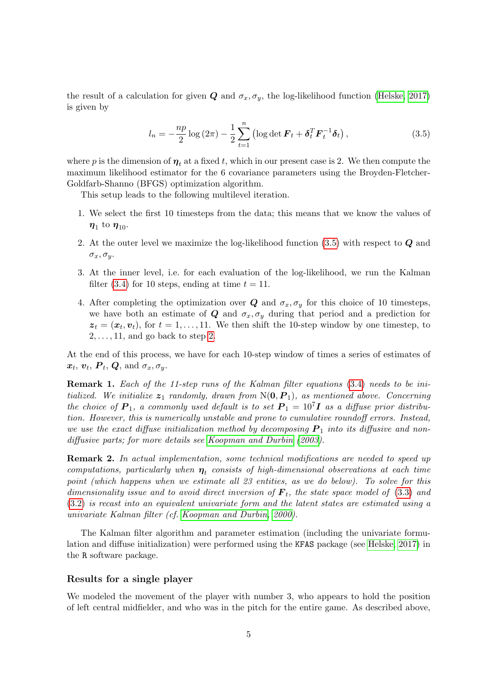the result of a calculation for given  $Q$  and  $\sigma_x, \sigma_y$ , the log-likelihood function [\(Helske, 2017\)](#page-22-5) is given by

<span id="page-4-0"></span>
$$
l_n = -\frac{np}{2}\log\left(2\pi\right) - \frac{1}{2}\sum_{t=1}^n \left(\log\det\boldsymbol{F}_t + \boldsymbol{\delta}_t^T \boldsymbol{F}_t^{-1} \boldsymbol{\delta}_t\right),\tag{3.5}
$$

where p is the dimension of  $\eta_t$  at a fixed t, which in our present case is 2. We then compute the maximum likelihood estimator for the 6 covariance parameters using the Broyden-Fletcher-Goldfarb-Shanno (BFGS) optimization algorithm.

This setup leads to the following multilevel iteration.

- 1. We select the first 10 timesteps from the data; this means that we know the values of  $\eta_1$  to  $\eta_{10}$ .
- <span id="page-4-1"></span>2. At the outer level we maximize the log-likelihood function [\(3.5\)](#page-4-0) with respect to Q and  $\sigma_x, \sigma_y$ .
- 3. At the inner level, i.e. for each evaluation of the log-likelihood, we run the Kalman filter [\(3.4\)](#page-3-3) for 10 steps, ending at time  $t = 11$ .
- 4. After completing the optimization over Q and  $\sigma_x, \sigma_y$  for this choice of 10 timesteps, we have both an estimate of Q and  $\sigma_x, \sigma_y$  during that period and a prediction for  $z_t = (x_t, v_t)$ , for  $t = 1, \ldots, 11$ . We then shift the 10-step window by one timestep, to  $2, \ldots, 11$ , and go back to step [2.](#page-4-1)

At the end of this process, we have for each 10-step window of times a series of estimates of  $\boldsymbol{x}_t, \, \boldsymbol{v}_t, \, \boldsymbol{P}_t, \, \boldsymbol{Q}, \, \text{and} \, \, \sigma_x, \sigma_y.$ 

Remark 1. Each of the 11-step runs of the Kalman filter equations [\(3.4\)](#page-3-3) needs to be initialized. We initialize  $z_1$  randomly, drawn from  $N(0, P_1)$ , as mentioned above. Concerning the choice of  $P_1$ , a commonly used default is to set  $P_1 = 10^7 I$  as a diffuse prior distribution. However, this is numerically unstable and prone to cumulative roundoff errors. Instead, we use the exact diffuse initialization method by decomposing  $P_1$  into its diffusive and nondiffusive parts; for more details see [Koopman and Durbin](#page-22-6) [\(2003\)](#page-22-6).

**Remark 2.** In actual implementation, some technical modifications are needed to speed up computations, particularly when  $\eta_t$  consists of high-dimensional observations at each time point (which happens when we estimate all 23 entities, as we do below). To solve for this dimensionality issue and to avoid direct inversion of  $\mathbf{F}_t$ , the state space model of [\(3.3\)](#page-3-2) and [\(3.2\)](#page-3-1) is recast into an equivalent univariate form and the latent states are estimated using a univariate Kalman filter (cf. [Koopman and Durbin, 2000\)](#page-22-7).

The Kalman filter algorithm and parameter estimation (including the univariate formulation and diffuse initialization) were performed using the KFAS package (see [Helske, 2017\)](#page-22-5) in the R software package.

#### Results for a single player

We modeled the movement of the player with number 3, who appears to hold the position of left central midfielder, and who was in the pitch for the entire game. As described above,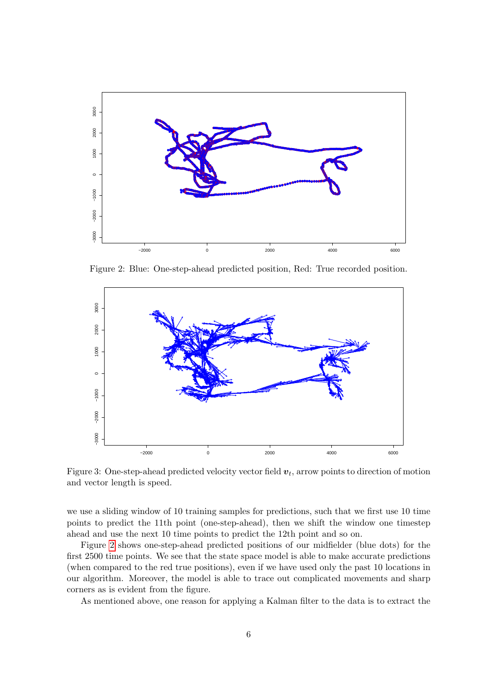<span id="page-5-0"></span>

Figure 2: Blue: One-step-ahead predicted position, Red: True recorded position.

<span id="page-5-1"></span>

Figure 3: One-step-ahead predicted velocity vector field  $v_t$ , arrow points to direction of motion and vector length is speed.

we use a sliding window of 10 training samples for predictions, such that we first use 10 time points to predict the 11th point (one-step-ahead), then we shift the window one timestep ahead and use the next 10 time points to predict the 12th point and so on.

Figure 2 shows one-step-ahead predicted positions of our midfielder (blue dots) for the first 2500 time points. We see that the state space model is able to make accurate predictions (when compared to the red true positions), even if we have used only the past 10 locations in our algorithm. Moreover, the model is able to trace out complicated movements and sharp corners as is evident from the figure.

As mentioned above, one reason for applying a Kalman filter to the data is to extract the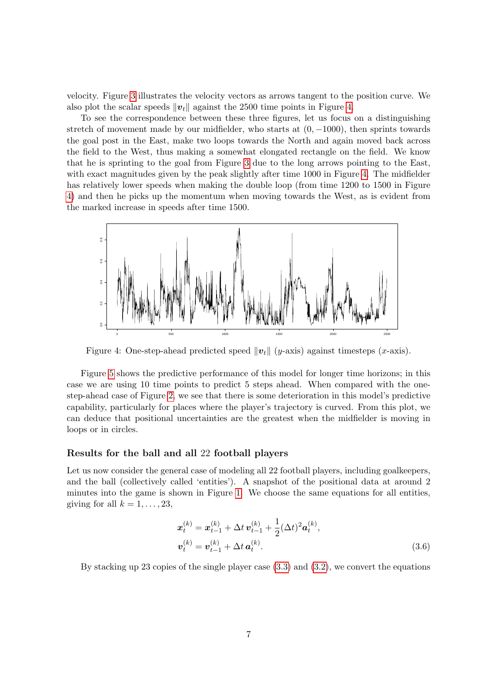velocity. Figure [3](#page-5-1) illustrates the velocity vectors as arrows tangent to the position curve. We also plot the scalar speeds  $\|\mathbf{v}_t\|$  against the 2500 time points in Figure [4.](#page-6-0)

To see the correspondence between these three figures, let us focus on a distinguishing stretch of movement made by our midfielder, who starts at  $(0, -1000)$ , then sprints towards the goal post in the East, make two loops towards the North and again moved back across the field to the West, thus making a somewhat elongated rectangle on the field. We know that he is sprinting to the goal from Figure [3](#page-5-1) due to the long arrows pointing to the East, with exact magnitudes given by the peak slightly after time 1000 in Figure [4.](#page-6-0) The midfielder has relatively lower speeds when making the double loop (from time 1200 to 1500 in Figure [4\)](#page-6-0) and then he picks up the momentum when moving towards the West, as is evident from the marked increase in speeds after time 1500.

<span id="page-6-0"></span>

Figure 4: One-step-ahead predicted speed  $||v_t||$  (y-axis) against timesteps (x-axis).

Figure [5](#page-7-0) shows the predictive performance of this model for longer time horizons; in this case we are using 10 time points to predict 5 steps ahead. When compared with the onestep-ahead case of Figure [2,](#page-5-0) we see that there is some deterioration in this model's predictive capability, particularly for places where the player's trajectory is curved. From this plot, we can deduce that positional uncertainties are the greatest when the midfielder is moving in loops or in circles.

#### Results for the ball and all 22 football players

Let us now consider the general case of modeling all 22 football players, including goalkeepers, and the ball (collectively called 'entities'). A snapshot of the positional data at around 2 minutes into the game is shown in Figure [1.](#page-2-2) We choose the same equations for all entities, giving for all  $k = 1, \ldots, 23$ ,

$$
\mathbf{x}_{t}^{(k)} = \mathbf{x}_{t-1}^{(k)} + \Delta t \, \mathbf{v}_{t-1}^{(k)} + \frac{1}{2} (\Delta t)^{2} \mathbf{a}_{t}^{(k)},
$$
\n
$$
\mathbf{v}_{t}^{(k)} = \mathbf{v}_{t-1}^{(k)} + \Delta t \, \mathbf{a}_{t}^{(k)}.
$$
\n(3.6)

By stacking up 23 copies of the single player case [\(3.3\)](#page-3-2) and [\(3.2\)](#page-3-1), we convert the equations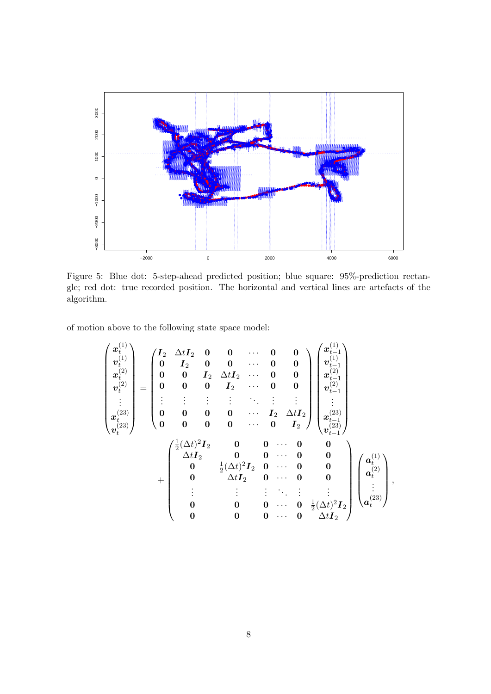<span id="page-7-0"></span>

Figure 5: Blue dot: 5-step-ahead predicted position; blue square: 95%-prediction rectangle; red dot: true recorded position. The horizontal and vertical lines are artefacts of the algorithm.

of motion above to the following state space model:

$$
\begin{pmatrix}\nx_1^{(1)} \\
v_1^{(1)} \\
x_2^{(2)} \\
v_2^{(2)} \\
\vdots \\
x_t^{(23)}\n\end{pmatrix} = \begin{pmatrix}\nI_2 & \Delta t I_2 & 0 & 0 & \cdots & 0 & 0 \\
0 & I_2 & 0 & 0 & \cdots & 0 & 0 \\
0 & 0 & I_2 & \Delta t I_2 & \cdots & 0 & 0 \\
0 & 0 & 0 & I_2 & \cdots & 0 & 0 \\
\vdots & \vdots & \vdots & \vdots & \ddots & \vdots & \vdots \\
0 & 0 & 0 & 0 & \cdots & I_2 & \Delta t I_2 \\
0 & 0 & 0 & 0 & \cdots & 0 & I_2\n\end{pmatrix}\n\begin{pmatrix}\nx_1^{(1)} \\
v_{t-1}^{(1)} \\
v_{t-1}^{(2)} \\
\vdots \\
v_{t-1}^{(23)} \\
v_{t-1}^{(24)}\n\end{pmatrix}
$$
\n
$$
+ \begin{pmatrix}\n\frac{1}{2}(\Delta t)^2 I_2 & 0 & 0 & \cdots & 0 & 0 \\
0 & \frac{1}{2}(\Delta t)^2 I_2 & 0 & \cdots & 0 & 0 \\
0 & \frac{1}{2}(\Delta t)^2 I_2 & 0 & \cdots & 0 & 0 \\
0 & \Delta t I_2 & 0 & \cdots & 0 & 0 \\
\vdots & \vdots & \vdots & \ddots & \vdots & \vdots \\
0 & 0 & 0 & \cdots & 0 & \frac{1}{2}(\Delta t)^2 I_2\n\end{pmatrix}\n\begin{pmatrix}\na_1^{(1)} \\
a_2^{(2)} \\
\vdots \\
a_t^{(2)} \\
a_t^{(2)} \\
\vdots \\
a_t^{(23)}\n\end{pmatrix},
$$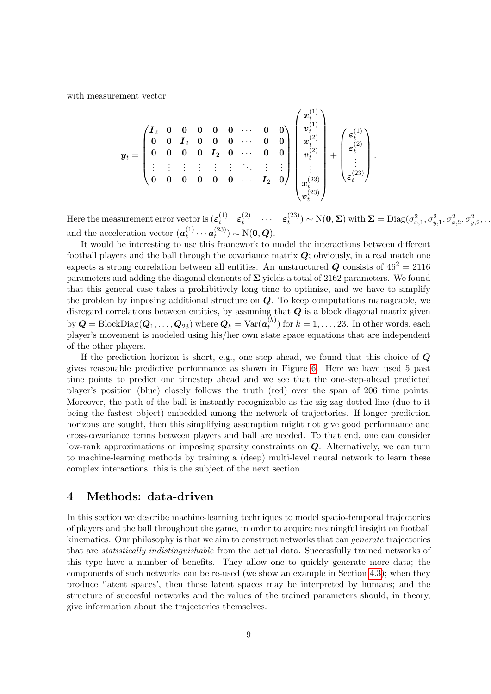with measurement vector

$$
\boldsymbol{y}_t = \begin{pmatrix} \boldsymbol{I}_2 & \boldsymbol{0} & \boldsymbol{0} & \boldsymbol{0} & \boldsymbol{0} & \cdots & \boldsymbol{0} & \boldsymbol{0} \\ \boldsymbol{0} & \boldsymbol{0} & \boldsymbol{I}_2 & \boldsymbol{0} & \boldsymbol{0} & \cdots & \boldsymbol{0} & \boldsymbol{0} \\ \boldsymbol{0} & \boldsymbol{0} & \boldsymbol{0} & \boldsymbol{0} & \boldsymbol{I}_2 & \boldsymbol{0} & \cdots & \boldsymbol{0} & \boldsymbol{0} \\ \vdots & \vdots & \vdots & \vdots & \vdots & \vdots & \ddots & \vdots & \vdots \\ \boldsymbol{0} & \boldsymbol{0} & \boldsymbol{0} & \boldsymbol{0} & \boldsymbol{0} & \cdots & \boldsymbol{I}_2 & \boldsymbol{0} \end{pmatrix} \begin{pmatrix} \boldsymbol{x}_t^{(1)} \\ \boldsymbol{v}_t^{(1)} \\ \boldsymbol{x}_t^{(2)} \\ \boldsymbol{v}_t^{(2)} \\ \vdots \\ \boldsymbol{x}_t^{(23)} \\ \boldsymbol{v}_t^{(23)} \end{pmatrix} + \begin{pmatrix} \boldsymbol{\varepsilon}_t^{(1)} \\ \boldsymbol{\varepsilon}_t^{(2)} \\ \vdots \\ \boldsymbol{\varepsilon}_t^{(23)} \end{pmatrix}.
$$

Here the measurement error vector is  $(\varepsilon_t^{(1)})$  $\begin{matrix} (1) & \varepsilon_t^{(2)} \end{matrix}$  $\begin{matrix} (2) & \ldots & \varepsilon_t^{(23)} \end{matrix}$  $\sigma_t^{(23)}) \sim \mathrm{N}(\mathbf{0},\mathbf{\Sigma}) \text{ with } \mathbf{\Sigma} = \text{Diag}(\sigma_{x,1}^2,\sigma_{y,1}^2,\sigma_{x,2}^2,\sigma_{y,2}^2,\dots)$ and the acceleration vector  $(a_t^{(1)})$  $\bm{a}_t^{(1)} \cdots \bm{a}_t^{(23)}$  $t^{(25)}$   $\sim$  N(0, Q).

It would be interesting to use this framework to model the interactions between different football players and the ball through the covariance matrix  $Q$ ; obviously, in a real match one expects a strong correlation between all entities. An unstructured Q consists of  $46^2 = 2116$ parameters and adding the diagonal elements of  $\Sigma$  yields a total of 2162 parameters. We found that this general case takes a prohibitively long time to optimize, and we have to simplify the problem by imposing additional structure on  $Q$ . To keep computations manageable, we disregard correlations between entities, by assuming that  $Q$  is a block diagonal matrix given by  $\bm{Q} = \text{BlockDiag}(\bm{Q}_1, \dots, \bm{Q}_{23})$  where  $\bm{Q}_k = \text{Var}(\bm{a}_t^{(k)})$  $t_t^{(k)}$ ) for  $k = 1, \ldots, 23$ . In other words, each player's movement is modeled using his/her own state space equations that are independent of the other players.

If the prediction horizon is short, e.g., one step ahead, we found that this choice of  $\mathbf Q$ gives reasonable predictive performance as shown in Figure [6.](#page-9-1) Here we have used 5 past time points to predict one timestep ahead and we see that the one-step-ahead predicted player's position (blue) closely follows the truth (red) over the span of 206 time points. Moreover, the path of the ball is instantly recognizable as the zig-zag dotted line (due to it being the fastest object) embedded among the network of trajectories. If longer prediction horizons are sought, then this simplifying assumption might not give good performance and cross-covariance terms between players and ball are needed. To that end, one can consider low-rank approximations or imposing sparsity constraints on Q. Alternatively, we can turn to machine-learning methods by training a (deep) multi-level neural network to learn these complex interactions; this is the subject of the next section.

## 4 Methods: data-driven

In this section we describe machine-learning techniques to model spatio-temporal trajectories of players and the ball throughout the game, in order to acquire meaningful insight on football kinematics. Our philosophy is that we aim to construct networks that can *generate* trajectories that are statistically indistinguishable from the actual data. Successfully trained networks of this type have a number of benefits. They allow one to quickly generate more data; the components of such networks can be re-used (we show an example in Section [4.3\)](#page-16-0); when they produce 'latent spaces', then these latent spaces may be interpreted by humans; and the structure of succesful networks and the values of the trained parameters should, in theory, give information about the trajectories themselves.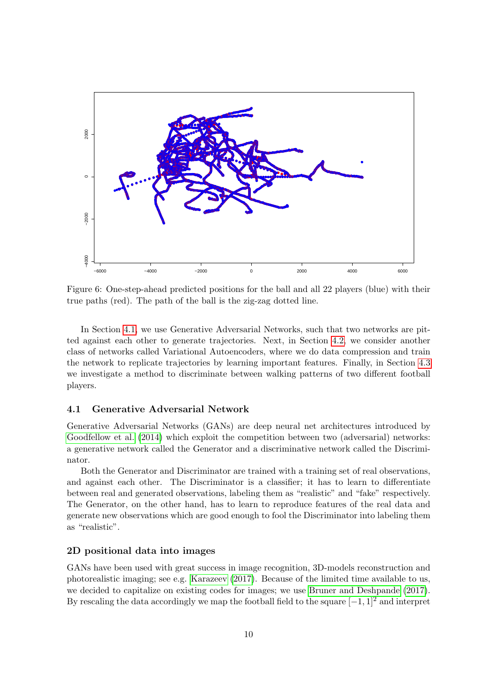<span id="page-9-1"></span>

Figure 6: One-step-ahead predicted positions for the ball and all 22 players (blue) with their true paths (red). The path of the ball is the zig-zag dotted line.

In Section 4.1, we use Generative Adversarial Networks, such that two networks are pitted against each other to generate trajectories. Next, in Section 4.2, we consider another class of networks called Variational Autoencoders, where we do data compression and train the network to replicate trajectories by learning important features. Finally, in Section 4.3 we investigate a method to discriminate between walking patterns of two different football players.

#### <span id="page-9-0"></span>4.1 **Generative Adversarial Network**

Generative Adversarial Networks (GANs) are deep neural net architectures introduced by Goodfellow et al. (2014) which exploit the competition between two (adversarial) networks: a generative network called the Generator and a discriminative network called the Discriminator.

Both the Generator and Discriminator are trained with a training set of real observations, and against each other. The Discriminator is a classifier; it has to learn to differentiate between real and generated observations, labeling them as "realistic" and "fake" respectively. The Generator, on the other hand, has to learn to reproduce features of the real data and generate new observations which are good enough to fool the Discriminator into labeling them as "realistic".

#### 2D positional data into images

GANs have been used with great success in image recognition, 3D-models reconstruction and photorealistic imaging; see e.g. Karazeev (2017). Because of the limited time available to us, we decided to capitalize on existing codes for images; we use Bruner and Deshpande (2017). By rescaling the data accordingly we map the football field to the square  $[-1, 1]^2$  and interpret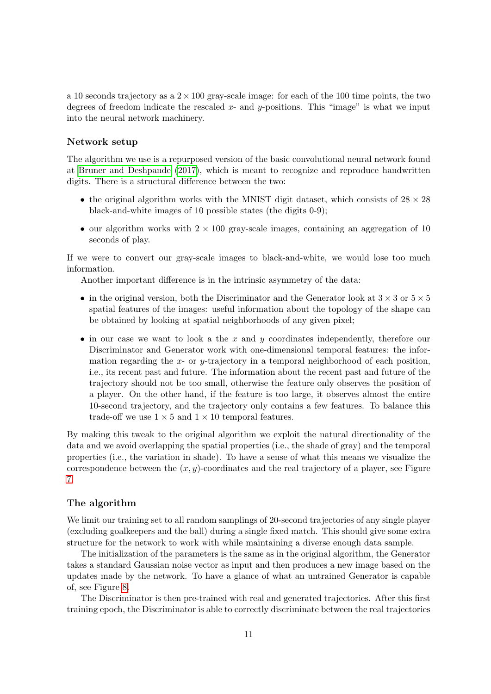a 10 seconds trajectory as a  $2 \times 100$  gray-scale image: for each of the 100 time points, the two degrees of freedom indicate the rescaled  $x$ - and  $y$ -positions. This "image" is what we input into the neural network machinery.

### Network setup

The algorithm we use is a repurposed version of the basic convolutional neural network found at [Bruner and Deshpande](#page-22-9) [\(2017\)](#page-22-9), which is meant to recognize and reproduce handwritten digits. There is a structural difference between the two:

- the original algorithm works with the MNIST digit dataset, which consists of  $28 \times 28$ black-and-white images of 10 possible states (the digits 0-9);
- our algorithm works with  $2 \times 100$  gray-scale images, containing an aggregation of 10 seconds of play.

If we were to convert our gray-scale images to black-and-white, we would lose too much information.

Another important difference is in the intrinsic asymmetry of the data:

- in the original version, both the Discriminator and the Generator look at  $3 \times 3$  or  $5 \times 5$ spatial features of the images: useful information about the topology of the shape can be obtained by looking at spatial neighborhoods of any given pixel;
- in our case we want to look a the x and y coordinates independently, therefore our Discriminator and Generator work with one-dimensional temporal features: the information regarding the  $x$ - or  $y$ -trajectory in a temporal neighborhood of each position, i.e., its recent past and future. The information about the recent past and future of the trajectory should not be too small, otherwise the feature only observes the position of a player. On the other hand, if the feature is too large, it observes almost the entire 10-second trajectory, and the trajectory only contains a few features. To balance this trade-off we use  $1 \times 5$  and  $1 \times 10$  temporal features.

By making this tweak to the original algorithm we exploit the natural directionality of the data and we avoid overlapping the spatial properties (i.e., the shade of gray) and the temporal properties (i.e., the variation in shade). To have a sense of what this means we visualize the correspondence between the  $(x, y)$ -coordinates and the real trajectory of a player, see Figure [7.](#page-11-0)

#### The algorithm

We limit our training set to all random samplings of 20-second trajectories of any single player (excluding goalkeepers and the ball) during a single fixed match. This should give some extra structure for the network to work with while maintaining a diverse enough data sample.

The initialization of the parameters is the same as in the original algorithm, the Generator takes a standard Gaussian noise vector as input and then produces a new image based on the updates made by the network. To have a glance of what an untrained Generator is capable of, see Figure [8.](#page-12-1)

The Discriminator is then pre-trained with real and generated trajectories. After this first training epoch, the Discriminator is able to correctly discriminate between the real trajectories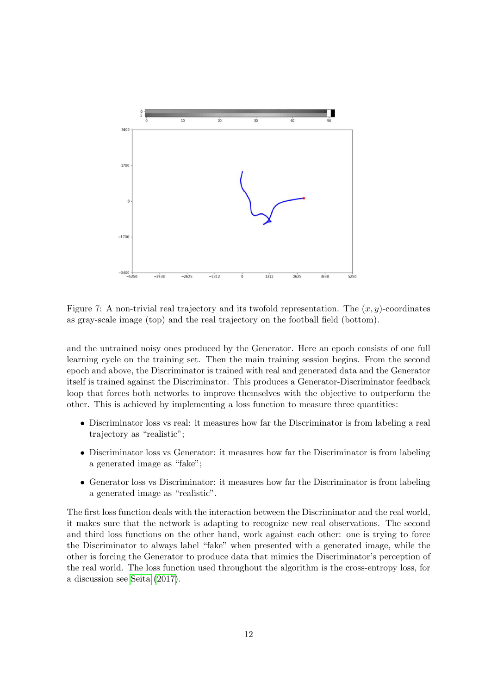<span id="page-11-0"></span>

Figure 7: A non-trivial real trajectory and its twofold representation. The  $(x, y)$ -coordinates as gray-scale image (top) and the real trajectory on the football field (bottom).

and the untrained noisy ones produced by the Generator. Here an epoch consists of one full learning cycle on the training set. Then the main training session begins. From the second epoch and above, the Discriminator is trained with real and generated data and the Generator itself is trained against the Discriminator. This produces a Generator-Discriminator feedback loop that forces both networks to improve themselves with the objective to outperform the other. This is achieved by implementing a loss function to measure three quantities:

- Discriminator loss vs real: it measures how far the Discriminator is from labeling a real trajectory as "realistic";
- Discriminator loss vs Generator: it measures how far the Discriminator is from labeling a generated image as "fake";
- Generator loss vs Discriminator: it measures how far the Discriminator is from labeling a generated image as "realistic".

The first loss function deals with the interaction between the Discriminator and the real world, it makes sure that the network is adapting to recognize new real observations. The second and third loss functions on the other hand, work against each other: one is trying to force the Discriminator to always label "fake" when presented with a generated image, while the other is forcing the Generator to produce data that mimics the Discriminator's perception of the real world. The loss function used throughout the algorithm is the cross-entropy loss, for a discussion see [Seita](#page-22-10) [\(2017\)](#page-22-10).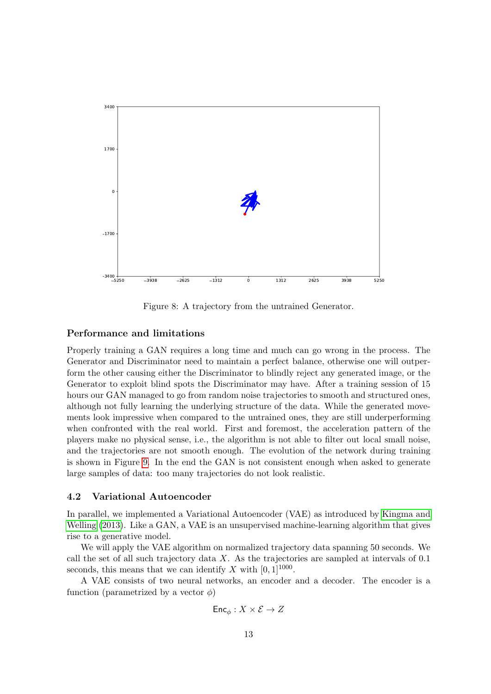<span id="page-12-1"></span>

Figure 8: A trajectory from the untrained Generator.

#### Performance and limitations

Properly training a GAN requires a long time and much can go wrong in the process. The Generator and Discriminator need to maintain a perfect balance, otherwise one will outperform the other causing either the Discriminator to blindly reject any generated image, or the Generator to exploit blind spots the Discriminator may have. After a training session of 15 hours our GAN managed to go from random noise trajectories to smooth and structured ones, although not fully learning the underlying structure of the data. While the generated movements look impressive when compared to the untrained ones, they are still underperforming when confronted with the real world. First and foremost, the acceleration pattern of the players make no physical sense, i.e., the algorithm is not able to filter out local small noise, and the trajectories are not smooth enough. The evolution of the network during training is shown in Figure [9.](#page-13-0) In the end the GAN is not consistent enough when asked to generate large samples of data: too many trajectories do not look realistic.

#### <span id="page-12-0"></span>4.2 Variational Autoencoder

In parallel, we implemented a Variational Autoencoder (VAE) as introduced by [Kingma and](#page-22-3) [Welling](#page-22-3) [\(2013\)](#page-22-3). Like a GAN, a VAE is an unsupervised machine-learning algorithm that gives rise to a generative model.

We will apply the VAE algorithm on normalized trajectory data spanning 50 seconds. We call the set of all such trajectory data  $X$ . As the trajectories are sampled at intervals of 0.1 seconds, this means that we can identify X with  $[0, 1]^{1000}$ .

A VAE consists of two neural networks, an encoder and a decoder. The encoder is a function (parametrized by a vector  $\phi$ )

$$
\mathsf{Enc}_\phi : X \times \mathcal{E} \to Z
$$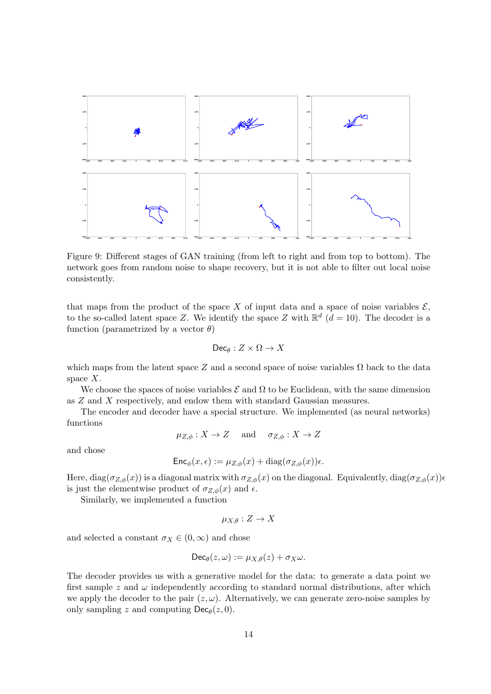<span id="page-13-0"></span>

Figure 9: Different stages of GAN training (from left to right and from top to bottom). The network goes from random noise to shape recovery, but it is not able to filter out local noise consistently.

that maps from the product of the space X of input data and a space of noise variables  $\mathcal{E}$ , to the so-called latent space Z. We identify the space Z with  $\mathbb{R}^d$  ( $d = 10$ ). The decoder is a function (parametrized by a vector  $\theta$ )

$$
\mathsf{Dec}_\theta:Z\times\Omega\to X
$$

which maps from the latent space Z and a second space of noise variables  $\Omega$  back to the data space  $X$ .

We choose the spaces of noise variables  $\mathcal E$  and  $\Omega$  to be Euclidean, with the same dimension as Z and X respectively, and endow them with standard Gaussian measures.

The encoder and decoder have a special structure. We implemented (as neural networks) functions

$$
\mu_{Z,\phi}: X \to Z \quad \text{and} \quad \sigma_{Z,\phi}: X \to Z
$$

and chose

$$
\mathsf{Enc}_{\phi}(x,\epsilon) := \mu_{Z,\phi}(x) + \text{diag}(\sigma_{Z,\phi}(x))\epsilon.
$$

Here, diag( $\sigma_{Z,\phi}(x)$ ) is a diagonal matrix with  $\sigma_{Z,\phi}(x)$  on the diagonal. Equivalently, diag( $\sigma_{Z,\phi}(x)$ )e is just the elementwise product of  $\sigma_{Z,\phi}(x)$  and  $\epsilon$ .

Similarly, we implemented a function

$$
\mu_{X,\theta}:Z\to X
$$

and selected a constant  $\sigma_X \in (0, \infty)$  and chose

$$
\mathsf{Dec}_{\theta}(z,\omega) := \mu_{X,\theta}(z) + \sigma_X \omega.
$$

The decoder provides us with a generative model for the data: to generate a data point we first sample z and  $\omega$  independently according to standard normal distributions, after which we apply the decoder to the pair  $(z, \omega)$ . Alternatively, we can generate zero-noise samples by only sampling z and computing  $\textsf{Dec}_{\theta}(z, 0)$ .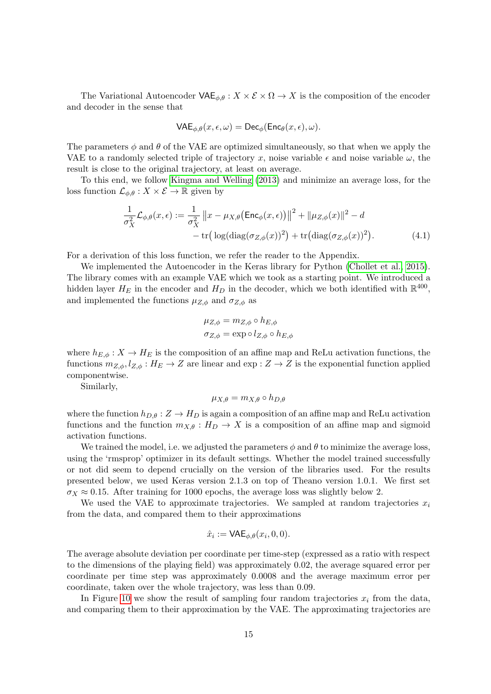The Variational Autoencoder  $\mathsf{VAE}_{\phi,\theta}: X \times \mathcal{E} \times \Omega \to X$  is the composition of the encoder and decoder in the sense that

$$
\mathsf{VAE}_{\phi,\theta}(x,\epsilon,\omega) = \mathsf{Dec}_{\phi}(\mathsf{Enc}_{\theta}(x,\epsilon),\omega).
$$

The parameters  $\phi$  and  $\theta$  of the VAE are optimized simultaneously, so that when we apply the VAE to a randomly selected triple of trajectory x, noise variable  $\epsilon$  and noise variable  $\omega$ , the result is close to the original trajectory, at least on average.

To this end, we follow [Kingma and Welling](#page-22-3) [\(2013\)](#page-22-3) and minimize an average loss, for the loss function  $\mathcal{L}_{\phi,\theta}: X \times \mathcal{E} \to \mathbb{R}$  given by

$$
\frac{1}{\sigma_X^2} \mathcal{L}_{\phi,\theta}(x,\epsilon) := \frac{1}{\sigma_X^2} \|x - \mu_{X,\theta}(\text{Enc}_{\phi}(x,\epsilon))\|^2 + \|\mu_{Z,\phi}(x)\|^2 - d
$$
  
- tr\left(\log(\text{diag}(\sigma\_{Z,\phi}(x))^2) + \text{tr}(\text{diag}(\sigma\_{Z,\phi}(x))^2)\right). (4.1)

For a derivation of this loss function, we refer the reader to the Appendix.

We implemented the Autoencoder in the Keras library for Python [\(Chollet et al., 2015\)](#page-22-11). The library comes with an example VAE which we took as a starting point. We introduced a hidden layer  $H_E$  in the encoder and  $H_D$  in the decoder, which we both identified with  $\mathbb{R}^{400}$ , and implemented the functions  $\mu_{Z,\phi}$  and  $\sigma_{Z,\phi}$  as

<span id="page-14-0"></span>
$$
\mu_{Z,\phi} = m_{Z,\phi} \circ h_{E,\phi}
$$

$$
\sigma_{Z,\phi} = \exp \circ l_{Z,\phi} \circ h_{E,\phi}
$$

where  $h_{E,\phi}: X \to H_E$  is the composition of an affine map and ReLu activation functions, the functions  $m_{Z,\phi}, l_{Z,\phi}: H_E \to Z$  are linear and exp :  $Z \to Z$  is the exponential function applied componentwise.

Similarly,

$$
\mu_{X,\theta} = m_{X,\theta} \circ h_{D,\theta}
$$

where the function  $h_{D,\theta}: Z \to H_D$  is again a composition of an affine map and ReLu activation functions and the function  $m_{X,\theta}: H_D \to X$  is a composition of an affine map and sigmoid activation functions.

We trained the model, i.e. we adjusted the parameters  $\phi$  and  $\theta$  to minimize the average loss, using the 'rmsprop' optimizer in its default settings. Whether the model trained successfully or not did seem to depend crucially on the version of the libraries used. For the results presented below, we used Keras version 2.1.3 on top of Theano version 1.0.1. We first set  $\sigma_X \approx 0.15$ . After training for 1000 epochs, the average loss was slightly below 2.

We used the VAE to approximate trajectories. We sampled at random trajectories  $x_i$ from the data, and compared them to their approximations

$$
\hat{x}_i := \mathsf{VAE}_{\phi,\theta}(x_i, 0, 0).
$$

The average absolute deviation per coordinate per time-step (expressed as a ratio with respect to the dimensions of the playing field) was approximately 0.02, the average squared error per coordinate per time step was approximately 0.0008 and the average maximum error per coordinate, taken over the whole trajectory, was less than 0.09.

In Figure [10](#page-15-0) we show the result of sampling four random trajectories  $x_i$  from the data, and comparing them to their approximation by the VAE. The approximating trajectories are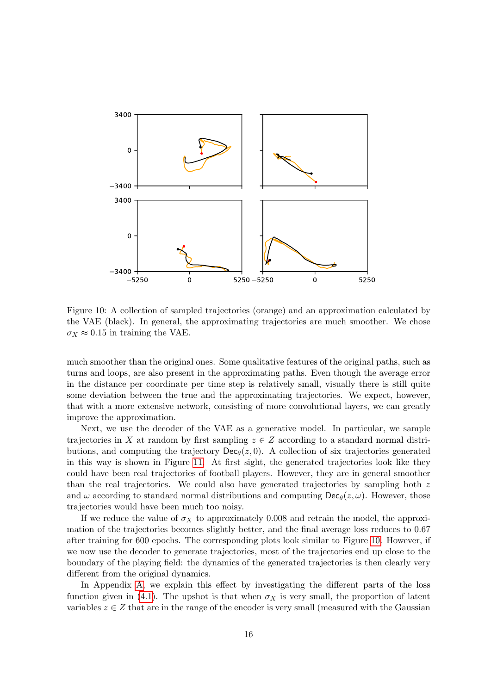<span id="page-15-0"></span>

Figure 10: A collection of sampled trajectories (orange) and an approximation calculated by the VAE (black). In general, the approximating trajectories are much smoother. We chose  $\sigma_X \approx 0.15$  in training the VAE.

much smoother than the original ones. Some qualitative features of the original paths, such as turns and loops, are also present in the approximating paths. Even though the average error in the distance per coordinate per time step is relatively small, visually there is still quite some deviation between the true and the approximating trajectories. We expect, however, that with a more extensive network, consisting of more convolutional layers, we can greatly improve the approximation.

Next, we use the decoder of the VAE as a generative model. In particular, we sample trajectories in X at random by first sampling  $z \in Z$  according to a standard normal distributions, and computing the trajectory  $\mathsf{Dec}_{\theta}(z, 0)$ . A collection of six trajectories generated in this way is shown in Figure [11.](#page-16-1) At first sight, the generated trajectories look like they could have been real trajectories of football players. However, they are in general smoother than the real trajectories. We could also have generated trajectories by sampling both  $z$ and  $\omega$  according to standard normal distributions and computing  $\text{Dec}_{\theta}(z, \omega)$ . However, those trajectories would have been much too noisy.

If we reduce the value of  $\sigma_X$  to approximately 0.008 and retrain the model, the approximation of the trajectories becomes slightly better, and the final average loss reduces to 0.67 after training for 600 epochs. The corresponding plots look similar to Figure [10.](#page-15-0) However, if we now use the decoder to generate trajectories, most of the trajectories end up close to the boundary of the playing field: the dynamics of the generated trajectories is then clearly very different from the original dynamics.

In Appendix [A,](#page-18-0) we explain this effect by investigating the different parts of the loss function given in [\(4.1\)](#page-14-0). The upshot is that when  $\sigma_X$  is very small, the proportion of latent variables  $z \in Z$  that are in the range of the encoder is very small (measured with the Gaussian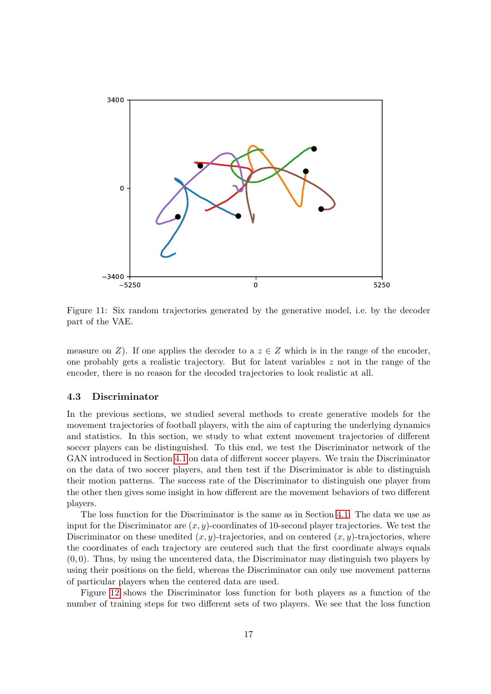<span id="page-16-1"></span>

Figure 11: Six random trajectories generated by the generative model, i.e. by the decoder part of the VAE.

measure on Z). If one applies the decoder to a  $z \in Z$  which is in the range of the encoder, one probably gets a realistic trajectory. But for latent variables  $z$  not in the range of the encoder, there is no reason for the decoded trajectories to look realistic at all.

#### <span id="page-16-0"></span>4.3 Discriminator

In the previous sections, we studied several methods to create generative models for the movement trajectories of football players, with the aim of capturing the underlying dynamics and statistics. In this section, we study to what extent movement trajectories of different soccer players can be distinguished. To this end, we test the Discriminator network of the GAN introduced in Section [4.1](#page-9-0) on data of different soccer players. We train the Discriminator on the data of two soccer players, and then test if the Discriminator is able to distinguish their motion patterns. The success rate of the Discriminator to distinguish one player from the other then gives some insight in how different are the movement behaviors of two different players.

The loss function for the Discriminator is the same as in Section [4.1.](#page-9-0) The data we use as input for the Discriminator are  $(x, y)$ -coordinates of 10-second player trajectories. We test the Discriminator on these unedited  $(x, y)$ -trajectories, and on centered  $(x, y)$ -trajectories, where the coordinates of each trajectory are centered such that the first coordinate always equals  $(0, 0)$ . Thus, by using the uncentered data, the Discriminator may distinguish two players by using their positions on the field, whereas the Discriminator can only use movement patterns of particular players when the centered data are used.

Figure [12](#page-17-1) shows the Discriminator loss function for both players as a function of the number of training steps for two different sets of two players. We see that the loss function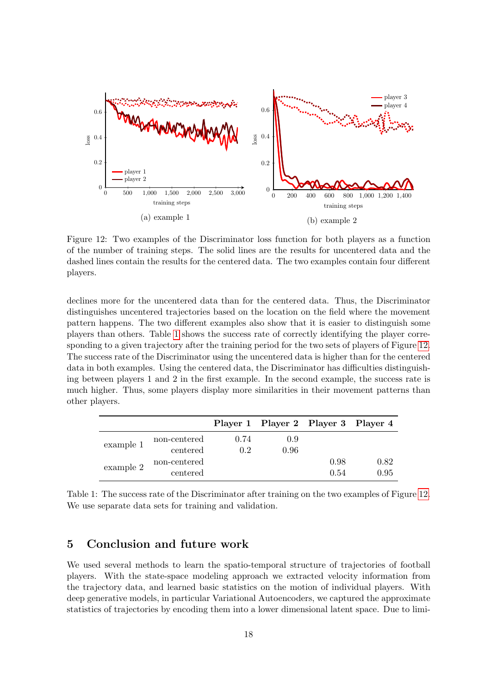<span id="page-17-1"></span>

Figure 12: Two examples of the Discriminator loss function for both players as a function of the number of training steps. The solid lines are the results for uncentered data and the dashed lines contain the results for the centered data. The two examples contain four different players.

declines more for the uncentered data than for the centered data. Thus, the Discriminator distinguishes uncentered trajectories based on the location on the field where the movement pattern happens. The two different examples also show that it is easier to distinguish some players than others. Table [1](#page-17-2) shows the success rate of correctly identifying the player corresponding to a given trajectory after the training period for the two sets of players of Figure [12.](#page-17-1) The success rate of the Discriminator using the uncentered data is higher than for the centered data in both examples. Using the centered data, the Discriminator has difficulties distinguishing between players 1 and 2 in the first example. In the second example, the success rate is much higher. Thus, some players display more similarities in their movement patterns than other players.

<span id="page-17-2"></span>

|           |              |      | Player 1 Player 2 Player 3 Player 4 |      |      |
|-----------|--------------|------|-------------------------------------|------|------|
| example 1 | non-centered | 0.74 | 0.9                                 |      |      |
|           | centered     | 0.2  | 0.96                                |      |      |
| example 2 | non-centered |      |                                     | 0.98 | 0.82 |
|           | centered     |      |                                     | 0.54 | 0.95 |

Table 1: The success rate of the Discriminator after training on the two examples of Figure [12.](#page-17-1) We use separate data sets for training and validation.

# <span id="page-17-0"></span>5 Conclusion and future work

We used several methods to learn the spatio-temporal structure of trajectories of football players. With the state-space modeling approach we extracted velocity information from the trajectory data, and learned basic statistics on the motion of individual players. With deep generative models, in particular Variational Autoencoders, we captured the approximate statistics of trajectories by encoding them into a lower dimensional latent space. Due to limi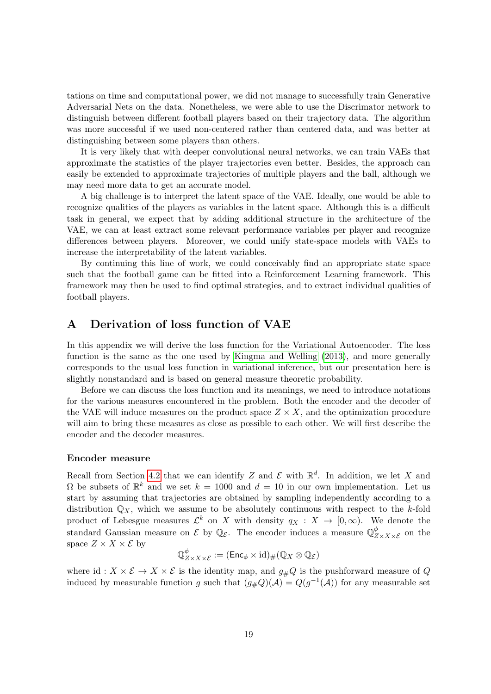tations on time and computational power, we did not manage to successfully train Generative Adversarial Nets on the data. Nonetheless, we were able to use the Discrimator network to distinguish between different football players based on their trajectory data. The algorithm was more successful if we used non-centered rather than centered data, and was better at distinguishing between some players than others.

It is very likely that with deeper convolutional neural networks, we can train VAEs that approximate the statistics of the player trajectories even better. Besides, the approach can easily be extended to approximate trajectories of multiple players and the ball, although we may need more data to get an accurate model.

A big challenge is to interpret the latent space of the VAE. Ideally, one would be able to recognize qualities of the players as variables in the latent space. Although this is a difficult task in general, we expect that by adding additional structure in the architecture of the VAE, we can at least extract some relevant performance variables per player and recognize differences between players. Moreover, we could unify state-space models with VAEs to increase the interpretability of the latent variables.

By continuing this line of work, we could conceivably find an appropriate state space such that the football game can be fitted into a Reinforcement Learning framework. This framework may then be used to find optimal strategies, and to extract individual qualities of football players.

# <span id="page-18-0"></span>A Derivation of loss function of VAE

In this appendix we will derive the loss function for the Variational Autoencoder. The loss function is the same as the one used by [Kingma and Welling](#page-22-3) [\(2013\)](#page-22-3), and more generally corresponds to the usual loss function in variational inference, but our presentation here is slightly nonstandard and is based on general measure theoretic probability.

Before we can discuss the loss function and its meanings, we need to introduce notations for the various measures encountered in the problem. Both the encoder and the decoder of the VAE will induce measures on the product space  $Z \times X$ , and the optimization procedure will aim to bring these measures as close as possible to each other. We will first describe the encoder and the decoder measures.

#### Encoder measure

Recall from Section [4.2](#page-12-0) that we can identify Z and  $\mathcal E$  with  $\mathbb R^d$ . In addition, we let X and  $\Omega$  be subsets of  $\mathbb{R}^k$  and we set  $k = 1000$  and  $d = 10$  in our own implementation. Let us start by assuming that trajectories are obtained by sampling independently according to a distribution  $\mathbb{Q}_X$ , which we assume to be absolutely continuous with respect to the k-fold product of Lebesgue measures  $\mathcal{L}^k$  on X with density  $q_X : X \to [0, \infty)$ . We denote the standard Gaussian measure on  $\mathcal E$  by  $\mathbb Q_{\mathcal E}$ . The encoder induces a measure  $\mathbb Q_{Z\times X\times \mathcal E}^{\phi}$  on the space  $Z \times X \times \mathcal{E}$  by

$$
\mathbb{Q}^\phi_{Z\times X\times \mathcal{E}}:=(\mathsf{Enc}_\phi\times \mathrm{id})_\# (\mathbb{Q}_X\otimes \mathbb{Q}_\mathcal{E})
$$

where id :  $X \times \mathcal{E} \to X \times \mathcal{E}$  is the identity map, and  $g_{\#}Q$  is the pushforward measure of Q induced by measurable function g such that  $(g_{\#}Q)(\mathcal{A}) = Q(g^{-1}(\mathcal{A}))$  for any measurable set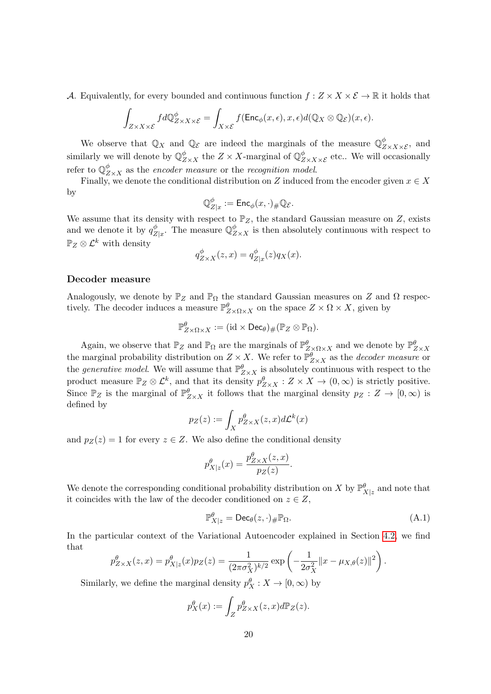A. Equivalently, for every bounded and continuous function  $f: Z \times X \times \mathcal{E} \to \mathbb{R}$  it holds that

$$
\int_{Z\times X\times \mathcal{E}} fd\mathbb{Q}_{Z\times X\times \mathcal{E}}^{\phi} = \int_{X\times \mathcal{E}} f(\mathsf{Enc}_{\phi}(x,\epsilon), x, \epsilon) d(\mathbb{Q}_X \otimes \mathbb{Q}_{\mathcal{E}})(x,\epsilon).
$$

We observe that  $\mathbb{Q}_X$  and  $\mathbb{Q}_\mathcal{E}$  are indeed the marginals of the measure  $\mathbb{Q}^\phi_{Z\times X\times \mathcal{E}}$ , and similarly we will denote by  $\mathbb{Q}^{\phi}_{Z\times X}$  the  $Z\times X$ -marginal of  $\mathbb{Q}^{\phi}_{Z\times X\times \mathcal{E}}$  etc.. We will occasionally refer to  $\mathbb{Q}^\phi_{Z \times X}$  as the *encoder measure* or the *recognition model*.

Finally, we denote the conditional distribution on Z induced from the encoder given  $x \in X$ by

$$
\mathbb{Q}^\phi_{Z|x}:=\mathsf{Enc}_\phi(x,\cdot)_\#\mathbb{Q}_\mathcal{E}.
$$

We assume that its density with respect to  $\mathbb{P}_Z$ , the standard Gaussian measure on Z, exists and we denote it by  $q_Z^{\phi}$  $Z|_{Z|x}$ . The measure  $\mathbb{Q}^{\phi}_{Z\times X}$  is then absolutely continuous with respect to  $\mathbb{P}_Z \otimes \mathcal{L}^k$  with density

$$
q_{Z\times X}^{\phi}(z,x)=q_{Z|x}^{\phi}(z)q_X(x).
$$

#### Decoder measure

Analogously, we denote by  $\mathbb{P}_Z$  and  $\mathbb{P}_\Omega$  the standard Gaussian measures on Z and  $\Omega$  respectively. The decoder induces a measure  $\mathbb{P}^{\theta}_{Z\times \Omega\times X}$  on the space  $Z\times \Omega \times X$ , given by

$$
\mathbb{P}^{\theta}_{Z\times\Omega\times X}:=(\mathrm{id}\times\mathsf{Dec}_{\theta})_{\#}(\mathbb{P}_Z\otimes\mathbb{P}_{\Omega}).
$$

Again, we observe that  $\mathbb{P}_Z$  and  $\mathbb{P}_{\Omega}$  are the marginals of  $\mathbb{P}^{\theta}_{Z\times\Omega\times X}$  and we denote by  $\mathbb{P}^{\theta}_{Z\times X}$ the marginal probability distribution on  $Z \times X$ . We refer to  $\mathbb{P}^{\theta}_{Z \times X}$  as the *decoder measure* or the *generative model*. We will assume that  $\mathbb{P}^{\theta}_{Z \times X}$  is absolutely continuous with respect to the product measure  $\mathbb{P}_Z \otimes \mathcal{L}^k$ , and that its density  $p_{Z\times X}^{\theta} : Z \times X \to (0,\infty)$  is strictly positive. Since  $\mathbb{P}_Z$  is the marginal of  $\mathbb{P}_{Z\times X}^{\theta}$  it follows that the marginal density  $p_Z: Z \to [0, \infty)$  is defined by

$$
p_Z(z) := \int_X p_{Z \times X}^{\theta}(z, x) d\mathcal{L}^k(x)
$$

and  $p_Z(z) = 1$  for every  $z \in Z$ . We also define the conditional density

$$
p_{X|z}^{\theta}(x) = \frac{p_{Z\times X}^{\theta}(z,x)}{p_Z(z)}.
$$

We denote the corresponding conditional probability distribution on X by  $\mathbb{P}_{X|z}^{\theta}$  and note that it coincides with the law of the decoder conditioned on  $z \in Z$ ,

$$
\mathbb{P}_{X|z}^{\theta} = \text{Dec}_{\theta}(z, \cdot)_{\#} \mathbb{P}_{\Omega}. \tag{A.1}
$$

.

In the particular context of the Variational Autoencoder explained in Section [4.2,](#page-12-0) we find that

$$
p_{Z\times X}^{\theta}(z,x) = p_{X|z}^{\theta}(x)p_Z(z) = \frac{1}{(2\pi\sigma_X^2)^{k/2}} \exp\left(-\frac{1}{2\sigma_X^2}||x - \mu_{X,\theta}(z)||^2\right)
$$

Similarly, we define the marginal density  $p_X^{\theta}: X \to [0, \infty)$  by

$$
p_X^{\theta}(x) := \int_Z p_{Z \times X}^{\theta}(z, x) d\mathbb{P}_Z(z).
$$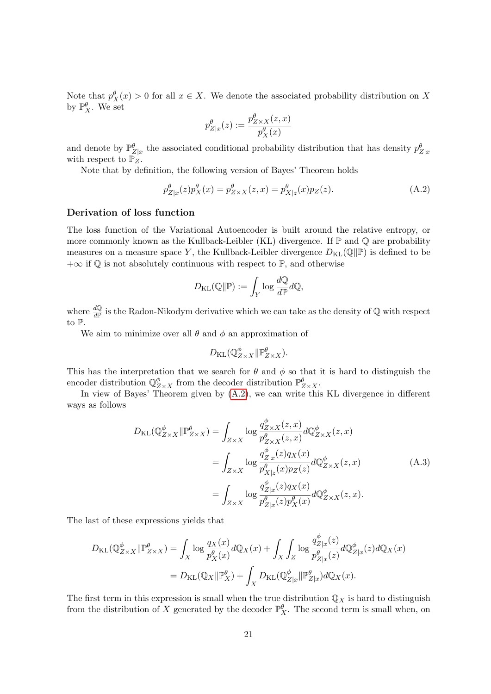Note that  $p_X^{\theta}(x) > 0$  for all  $x \in X$ . We denote the associated probability distribution on X by  $\mathbb{P}_{X}^{\theta}$ . We set

$$
p^\theta_{Z|x}(z) := \frac{p^\theta_{Z\times X}(z,x)}{p^\theta_X(x)}
$$

and denote by  $\mathbb{P}^{\theta}_{Z|x}$  the associated conditional probability distribution that has density  $p^{\theta}_{Z|x}$ with respect to  $\mathbb{P}_Z$ .

Note that by definition, the following version of Bayes' Theorem holds

<span id="page-20-0"></span>
$$
p_{Z|x}^{\theta}(z)p_X^{\theta}(x) = p_{Z \times X}^{\theta}(z, x) = p_{X|z}^{\theta}(x)p_Z(z).
$$
 (A.2)

#### Derivation of loss function

The loss function of the Variational Autoencoder is built around the relative entropy, or more commonly known as the Kullback-Leibler (KL) divergence. If  $\mathbb P$  and  $\mathbb Q$  are probability measures on a measure space Y, the Kullback-Leibler divergence  $D_{\text{KL}}(\mathbb{Q}|\mathbb{P})$  is defined to be  $+\infty$  if  $\mathbb Q$  is not absolutely continuous with respect to  $\mathbb P$ , and otherwise

$$
D_{\mathrm{KL}}(\mathbb{Q} \Vert \mathbb{P}) := \int_Y \log \frac{d\mathbb{Q}}{d\mathbb{P}} d\mathbb{Q},
$$

where  $\frac{d\mathbb{Q}}{d\mathbb{P}}$  is the Radon-Nikodym derivative which we can take as the density of  $\mathbb{Q}$  with respect to P.

We aim to minimize over all  $\theta$  and  $\phi$  an approximation of

<span id="page-20-1"></span>
$$
D_{\mathrm{KL}}(\mathbb{Q}^{\phi}_{Z\times X}\|\mathbb{P}^{\theta}_{Z\times X}).
$$

This has the interpretation that we search for  $\theta$  and  $\phi$  so that it is hard to distinguish the encoder distribution  $\mathbb{Q}^{\phi}_{Z\times X}$  from the decoder distribution  $\mathbb{P}^{\theta}_{Z\times X}$ .

In view of Bayes' Theorem given by  $(A.2)$ , we can write this KL divergence in different ways as follows

$$
D_{\text{KL}}(\mathbb{Q}_{Z\times X}^{\phi}||\mathbb{P}_{Z\times X}^{\theta}) = \int_{Z\times X} \log \frac{q_{Z\times X}^{\phi}(z,x)}{p_{Z\times X}^{\theta}(z,x)} d\mathbb{Q}_{Z\times X}^{\phi}(z,x)
$$
  
\n
$$
= \int_{Z\times X} \log \frac{q_{Z|x}^{\phi}(z)q_X(x)}{p_{X|z}^{\theta}(x)p_Z(z)} d\mathbb{Q}_{Z\times X}^{\phi}(z,x)
$$
  
\n
$$
= \int_{Z\times X} \log \frac{q_{Z|x}^{\phi}(z)q_X(x)}{p_{Z|x}^{\theta}(z)p_X^{\theta}(x)} d\mathbb{Q}_{Z\times X}^{\phi}(z,x).
$$
 (A.3)

The last of these expressions yields that

$$
D_{\mathrm{KL}}(\mathbb{Q}_{Z\times X}^{\phi}||\mathbb{P}_{Z\times X}^{\theta}) = \int_{X} \log \frac{q_X(x)}{p_X^{\theta}(x)} d\mathbb{Q}_X(x) + \int_{X} \int_{Z} \log \frac{q_{Z|x}^{\phi}(z)}{p_{Z|x}^{\theta}(z)} d\mathbb{Q}_{Z|x}^{\phi}(z) d\mathbb{Q}_X(x)
$$
  
=  $D_{\mathrm{KL}}(\mathbb{Q}_X||\mathbb{P}_X^{\theta}) + \int_{X} D_{\mathrm{KL}}(\mathbb{Q}_{Z|x}^{\phi}||\mathbb{P}_{Z|x}^{\theta}) d\mathbb{Q}_X(x).$ 

The first term in this expression is small when the true distribution  $\mathbb{Q}_X$  is hard to distinguish from the distribution of X generated by the decoder  $\mathbb{P}_{X}^{\theta}$ . The second term is small when, on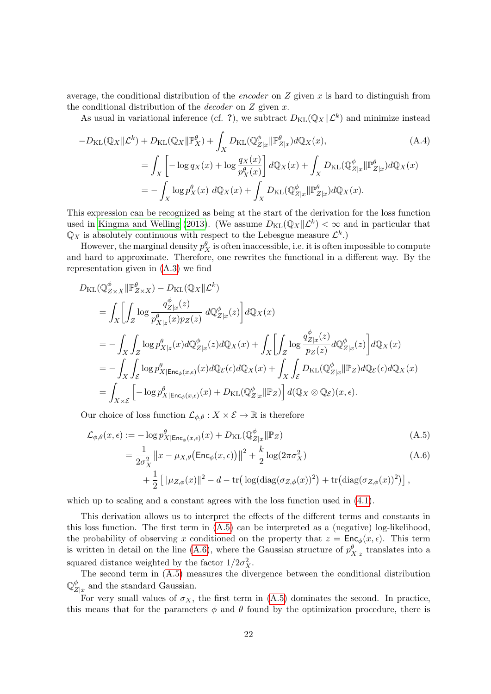average, the conditional distribution of the encoder on  $Z$  given  $x$  is hard to distinguish from the conditional distribution of the *decoder* on  $Z$  given  $x$ .

As usual in variational inference (cf. ?), we subtract  $D_{\text{KL}}(\mathbb{Q}_X | \mathcal{L}^k)$  and minimize instead

$$
-D_{\text{KL}}(\mathbb{Q}_X \| \mathcal{L}^k) + D_{\text{KL}}(\mathbb{Q}_X \| \mathbb{P}_X^{\theta}) + \int_X D_{\text{KL}}(\mathbb{Q}_{Z|x}^{\phi} \| \mathbb{P}_{Z|x}^{\theta}) d\mathbb{Q}_X(x),
$$
\n
$$
= \int_X \left[ -\log q_X(x) + \log \frac{q_X(x)}{p_X^{\theta}(x)} \right] d\mathbb{Q}_X(x) + \int_X D_{\text{KL}}(\mathbb{Q}_{Z|x}^{\phi} \| \mathbb{P}_{Z|x}^{\theta}) d\mathbb{Q}_X(x)
$$
\n
$$
= -\int_X \log p_X^{\theta}(x) d\mathbb{Q}_X(x) + \int_X D_{\text{KL}}(\mathbb{Q}_{Z|x}^{\phi} \| \mathbb{P}_{Z|x}^{\theta}) d\mathbb{Q}_X(x).
$$
\n(A.4)

This expression can be recognized as being at the start of the derivation for the loss function used in [Kingma and Welling](#page-22-3) [\(2013\)](#page-22-3). (We assume  $D_{\text{KL}}(\mathbb{Q}_X || \mathcal{L}^k) < \infty$  and in particular that  $\mathbb{Q}_X$  is absolutely continuous with respect to the Lebesgue measure  $\mathcal{L}^k$ .)

However, the marginal density  $p_X^{\theta}$  is often inaccessible, i.e. it is often impossible to compute and hard to approximate. Therefore, one rewrites the functional in a different way. By the representation given in [\(A.3\)](#page-20-1) we find

$$
D_{\text{KL}}(\mathbb{Q}_{Z\times X}^{\phi}||\mathbb{P}_{Z\times X}^{\theta}) - D_{\text{KL}}(\mathbb{Q}_{X}||\mathcal{L}^{k})
$$
  
\n
$$
= \int_{X} \left[ \int_{Z} \log \frac{q_{Z|x}^{\phi}(z)}{p_{X|z}^{\theta}(x)p_{Z}(z)} d\mathbb{Q}_{Z|x}^{\phi}(z) \right] d\mathbb{Q}_{X}(x)
$$
  
\n
$$
= - \int_{X} \int_{Z} \log p_{X|z}^{\theta}(x) d\mathbb{Q}_{Z|x}^{\phi}(z) d\mathbb{Q}_{X}(x) + \int_{X} \left[ \int_{Z} \log \frac{q_{Z|x}^{\phi}(z)}{p_{Z}(z)} d\mathbb{Q}_{Z|x}^{\phi}(z) \right] d\mathbb{Q}_{X}(x)
$$
  
\n
$$
= - \int_{X} \int_{\mathcal{E}} \log p_{X|\text{Enc}_{\phi}(x,\epsilon)}^{\theta}(x) d\mathbb{Q}_{\mathcal{E}}(\epsilon) d\mathbb{Q}_{X}(x) + \int_{X} \int_{\mathcal{E}} D_{\text{KL}}(\mathbb{Q}_{Z|x}^{\phi}||\mathbb{P}_{Z}) d\mathbb{Q}_{\mathcal{E}}(\epsilon) d\mathbb{Q}_{X}(x)
$$
  
\n
$$
= \int_{X \times \mathcal{E}} \left[ -\log p_{X|\text{Enc}_{\phi}(x,\epsilon)}^{\theta}(x) + D_{\text{KL}}(\mathbb{Q}_{Z|x}^{\phi}||\mathbb{P}_{Z}) \right] d(\mathbb{Q}_{X} \otimes \mathbb{Q}_{\mathcal{E}})(x,\epsilon).
$$

Our choice of loss function  $\mathcal{L}_{\phi,\theta}: X \times \mathcal{E} \to \mathbb{R}$  is therefore

$$
\mathcal{L}_{\phi,\theta}(x,\epsilon) := -\log p_{X|\mathsf{Enc}_{\phi}(x,\epsilon)}^{\theta}(x) + D_{\mathrm{KL}}(\mathbb{Q}_{Z|x}^{\phi}||\mathbb{P}_Z)
$$
\n(A.5)

<span id="page-21-1"></span><span id="page-21-0"></span>
$$
= \frac{1}{2\sigma_X^2} ||x - \mu_{X,\theta}(\text{Enc}_{\phi}(x,\epsilon))||^2 + \frac{k}{2}\log(2\pi\sigma_X^2)
$$
\n
$$
+ \frac{1}{2} [||\mu_{Z,\phi}(x)||^2 - d - \text{tr}\left(\log(\text{diag}(\sigma_{Z,\phi}(x))^2\right) + \text{tr}\left(\text{diag}(\sigma_{Z,\phi}(x))^2\right)],
$$
\n(A.6)

which up to scaling and a constant agrees with the loss function used in  $(4.1)$ .

This derivation allows us to interpret the effects of the different terms and constants in this loss function. The first term in  $(A.5)$  can be interpreted as a (negative) log-likelihood, the probability of observing x conditioned on the property that  $z = \text{Enc}_{\phi}(x, \epsilon)$ . This term is written in detail on the line [\(A.6\)](#page-21-1), where the Gaussian structure of  $p_{X|z}^{\theta}$  translates into a squared distance weighted by the factor  $1/2\sigma_X^2$ .

The second term in [\(A.5\)](#page-21-0) measures the divergence between the conditional distribution  $\mathbb{O}^{\phi}_{\pi}$  $Z_{Z|x}^{\varphi}$  and the standard Gaussian.

For very small values of  $\sigma_X$ , the first term in [\(A.5\)](#page-21-0) dominates the second. In practice, this means that for the parameters  $\phi$  and  $\theta$  found by the optimization procedure, there is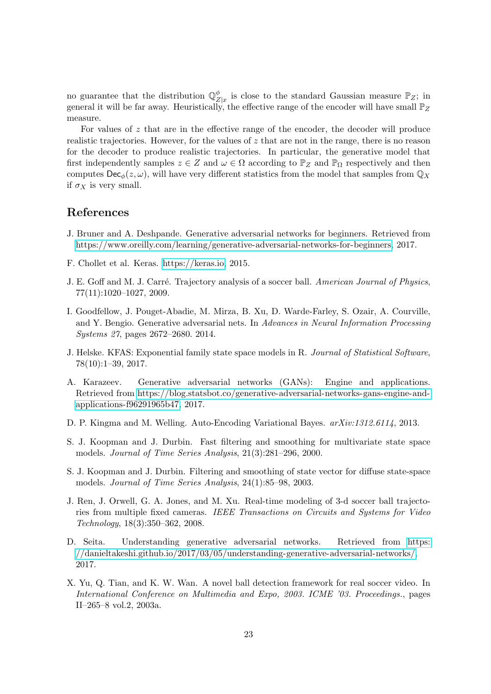no guarantee that the distribution  $\mathbb{Q}_z^{\phi}$  $Z|_Z$  is close to the standard Gaussian measure  $\mathbb{P}_Z$ ; in general it will be far away. Heuristically, the effective range of the encoder will have small  $\mathbb{P}_Z$ measure.

For values of z that are in the effective range of the encoder, the decoder will produce realistic trajectories. However, for the values of  $z$  that are not in the range, there is no reason for the decoder to produce realistic trajectories. In particular, the generative model that first independently samples  $z \in Z$  and  $\omega \in \Omega$  according to  $\mathbb{P}_Z$  and  $\mathbb{P}_\Omega$  respectively and then computes  $\mathsf{Dec}_{\phi}(z,\omega)$ , will have very different statistics from the model that samples from  $\mathbb{Q}_X$ if  $\sigma_X$  is very small.

# References

- <span id="page-22-9"></span>J. Bruner and A. Deshpande. Generative adversarial networks for beginners. Retrieved from [https://www.oreilly.com/learning/generative-adversarial-networks-for-beginners,](https://www.oreilly.com/learning/generative-adversarial-networks-for-beginners) 2017.
- <span id="page-22-11"></span>F. Chollet et al. Keras. [https://keras.io,](https://keras.io) 2015.
- <span id="page-22-2"></span>J. E. Goff and M. J. Carré. Trajectory analysis of a soccer ball. American Journal of Physics, 77(11):1020–1027, 2009.
- <span id="page-22-4"></span>I. Goodfellow, J. Pouget-Abadie, M. Mirza, B. Xu, D. Warde-Farley, S. Ozair, A. Courville, and Y. Bengio. Generative adversarial nets. In Advances in Neural Information Processing Systems 27, pages 2672–2680. 2014.
- <span id="page-22-5"></span>J. Helske. KFAS: Exponential family state space models in R. Journal of Statistical Software, 78(10):1–39, 2017.
- <span id="page-22-8"></span>A. Karazeev. Generative adversarial networks (GANs): Engine and applications. Retrieved from [https://blog.statsbot.co/generative-adversarial-networks-gans-engine-and](https://blog.statsbot.co/generative-adversarial-networks-gans-engine-and-applications-f96291965b47)[applications-f96291965b47,](https://blog.statsbot.co/generative-adversarial-networks-gans-engine-and-applications-f96291965b47) 2017.
- <span id="page-22-3"></span>D. P. Kingma and M. Welling. Auto-Encoding Variational Bayes. arXiv:1312.6114, 2013.
- <span id="page-22-7"></span>S. J. Koopman and J. Durbin. Fast filtering and smoothing for multivariate state space models. Journal of Time Series Analysis, 21(3):281–296, 2000.
- <span id="page-22-6"></span>S. J. Koopman and J. Durbin. Filtering and smoothing of state vector for diffuse state-space models. Journal of Time Series Analysis, 24(1):85–98, 2003.
- <span id="page-22-1"></span>J. Ren, J. Orwell, G. A. Jones, and M. Xu. Real-time modeling of 3-d soccer ball trajectories from multiple fixed cameras. IEEE Transactions on Circuits and Systems for Video Technology, 18(3):350–362, 2008.
- <span id="page-22-10"></span>D. Seita. Understanding generative adversarial networks. Retrieved from [https:](https://danieltakeshi.github.io/2017/03/05/understanding-generative-adversarial-networks/) [//danieltakeshi.github.io/2017/03/05/understanding-generative-adversarial-networks/,](https://danieltakeshi.github.io/2017/03/05/understanding-generative-adversarial-networks/) 2017.
- <span id="page-22-0"></span>X. Yu, Q. Tian, and K. W. Wan. A novel ball detection framework for real soccer video. In International Conference on Multimedia and Expo, 2003. ICME '03. Proceedings., pages II–265–8 vol.2, 2003a.